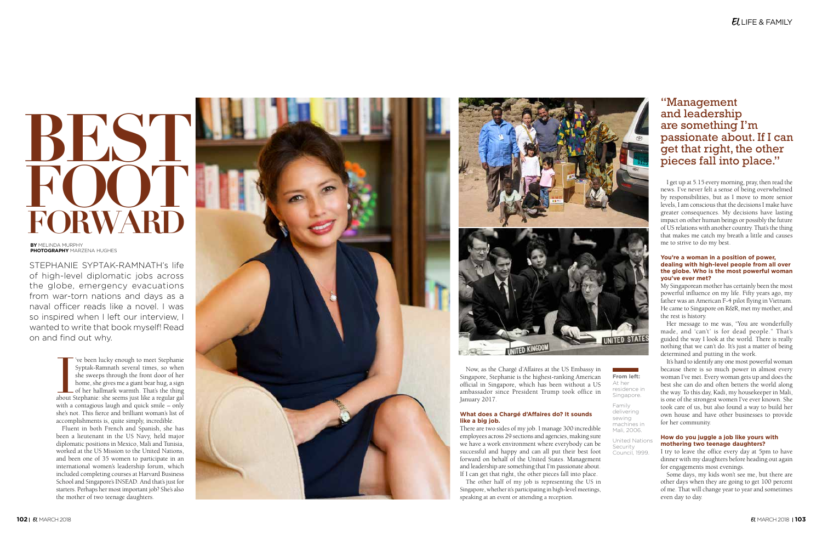STEPHANIE SYPTAK-RAMNATH's life of high-level diplomatic jobs across the globe, emergency evacuations from war-torn nations and days as a naval officer reads like a novel. I was so inspired when I left our interview, I wanted to write that book myself! Read on and find out why.

# **FORWARD BEST FOOT**

The Syptak-Ramnath several times, so when<br>she sweeps through the front door of her<br>home, she gives me a giant bear hug, a sign<br>of her hallmark warmth. That's the thing<br>about Stephanie: she seems just like a regular gal 've been lucky enough to meet Stephanie Syptak-Ramnath several times, so when she sweeps through the front door of her home, she gives me a giant bear hug, a sign of her hallmark warmth. That's the thing with a contagious laugh and quick smile – only she's not. This fierce and brilliant woman's list of accomplishments is, quite simply, incredible.

Fluent in both French and Spanish, she has been a lieutenant in the US Navy, held major diplomatic positions in Mexico, Mali and Tunisia, worked at the US Mission to the United Nations, and been one of 35 women to participate in an international women's leadership forum, which included completing courses at Harvard Business School and Singapore's INSEAD. And that's just for starters. Perhaps her most important job? She's also the mother of two teenage daughters.





# "Management and leadership are something I'm passionate about. If I can get that right, the other pieces fall into place."

Now, as the Chargé d'Affaires at the US Embassy in Singapore, Stephanie is the highest-ranking American official in Singapore, which has been without a US ambassador since President Trump took office in January 2017.

# **What does a Chargé d'Affaires do? It sounds like a big job.**

There are two sides of my job. I manage 300 incredible employees across 29 sections and agencies, making sure we have a work environment where everybody can be successful and happy and can all put their best foot forward on behalf of the United States. Management and leadership are something that I'm passionate about. If I can get that right, the other pieces fall into place.

The other half of my job is representing the US in Singapore, whether it's participating in high-level meetings, speaking at an event or attending a reception.

**From left:**  At her residence in Singapore.

Family delivering sewing machines in Mali, 2006.

United Nations **Security** Council, 1999.

**BY** MELINDA MURPHY **PHOTOGRAPHY** MARZENA HUGHES

I get up at 5.15 every morning, pray, then read the news. I've never felt a sense of being overwhelmed by responsibilities, but as I move to more senior levels, I am conscious that the decisions I make have greater consequences. My decisions have lasting impact on other human beings or possibly the future of US relations with another country. That's the thing that makes me catch my breath a little and causes me to strive to do my best.

#### **You're a woman in a position of power, dealing with high-level people from all over the globe. Who is the most powerful woman you've ever met?**

My Singaporean mother has certainly been the most powerful influence on my life. Fifty years ago, my father was an American F-4 pilot flying in Vietnam. He came to Singapore on R&R, met my mother, and the rest is history.

Her message to me was, "You are wonderfully made, and 'can't' is for dead people." That's guided the way I look at the world. There is really nothing that we can't do. It's just a matter of being determined and putting in the work.

It's hard to identify any one most powerful woman because there is so much power in almost every woman I've met. Every woman gets up and does the best she can do and often betters the world along the way. To this day, Kadi, my housekeeper in Mali, is one of the strongest women I've ever known. She took care of us, but also found a way to build her own house and have other businesses to provide for her community.

## **How do you juggle a job like yours with mothering two teenage daughters?**

I try to leave the office every day at 5pm to have dinner with my daughters before heading out again for engagements most evenings.

Some days, my kids won't see me, but there are other days when they are going to get 100 percent of me. That will change year to year and sometimes even day to day.